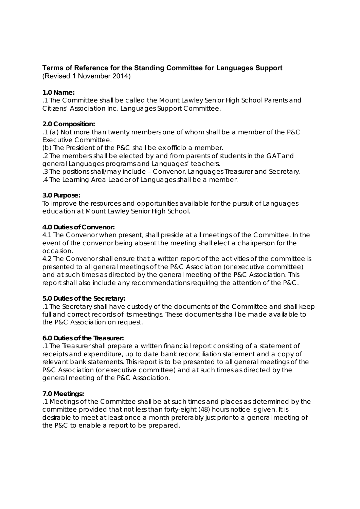# **Terms of Reference for the Standing Committee for Languages Support**

(Revised 1 November 2014)

## **1.0 Name:**

.1 The Committee shall be called the Mount Lawley Senior High School Parents and Citizens' Association Inc. Languages Support Committee.

## **2.0 Composition:**

.1 (a) Not more than twenty members one of whom shall be a member of the P&C Executive Committee.

(b) The President of the P&C shall be ex officio a member.

.2 The members shall be elected by and from parents of students in the GAT and general Languages programs and Languages' teachers.

.3 The positions shall/may include – Convenor, Languages Treasurer and Secretary. .4 The Learning Area Leader of Languages shall be a member.

### **3.0 Purpose:**

To improve the resources and opportunities available for the pursuit of Languages education at Mount Lawley Senior High School.

### **4.0 Duties of Convenor:**

4.1 The Convenor when present, shall preside at all meetings of the Committee. In the event of the convenor being absent the meeting shall elect a chairperson for the occasion.

4.2 The Convenor shall ensure that a written report of the activities of the committee is presented to all general meetings of the P&C Association (or executive committee) and at such times as directed by the general meeting of the P&C Association. This report shall also include any recommendations requiring the attention of the P&C.

### **5.0 Duties of the Secretary:**

.1 The Secretary shall have custody of the documents of the Committee and shall keep full and correct records of its meetings. These documents shall be made available to the P&C Association on request.

### **6.0 Duties of the Treasurer:**

.1 The Treasurer shall prepare a written financial report consisting of a statement of receipts and expenditure, up to date bank reconciliation statement and a copy of relevant bank statements. This report is to be presented to all general meetings of the P&C Association (or executive committee) and at such times as directed by the general meeting of the P&C Association.

### **7.0 Meetings:**

.1 Meetings of the Committee shall be at such times and places as determined by the committee provided that not less than forty-eight (48) hours notice is given. It is desirable to meet at least once a month preferably just prior to a general meeting of the P&C to enable a report to be prepared.